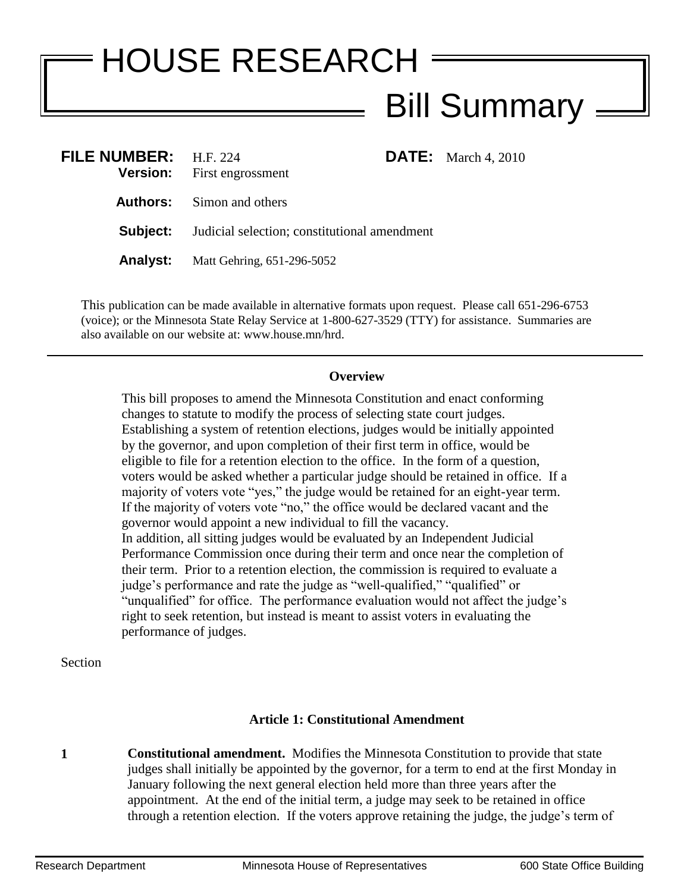# HOUSE RESEARCH Bill Summary

| FILE NUMBER: $H.F. 224$ | <b>Version:</b> First engrossment                            |  | <b>DATE:</b> March 4, 2010 |
|-------------------------|--------------------------------------------------------------|--|----------------------------|
|                         | <b>Authors:</b> Simon and others                             |  |                            |
|                         | <b>Subject:</b> Judicial selection; constitutional amendment |  |                            |
|                         | <b>Analyst:</b> Matt Gehring, 651-296-5052                   |  |                            |

This publication can be made available in alternative formats upon request. Please call 651-296-6753 (voice); or the Minnesota State Relay Service at 1-800-627-3529 (TTY) for assistance. Summaries are also available on our website at: www.house.mn/hrd.

#### **Overview**

This bill proposes to amend the Minnesota Constitution and enact conforming changes to statute to modify the process of selecting state court judges. Establishing a system of retention elections, judges would be initially appointed by the governor, and upon completion of their first term in office, would be eligible to file for a retention election to the office. In the form of a question, voters would be asked whether a particular judge should be retained in office. If a majority of voters vote "yes," the judge would be retained for an eight-year term. If the majority of voters vote "no," the office would be declared vacant and the governor would appoint a new individual to fill the vacancy. In addition, all sitting judges would be evaluated by an Independent Judicial Performance Commission once during their term and once near the completion of their term. Prior to a retention election, the commission is required to evaluate a judge's performance and rate the judge as "well-qualified," "qualified" or "unqualified" for office. The performance evaluation would not affect the judge's right to seek retention, but instead is meant to assist voters in evaluating the performance of judges.

Section

# **Article 1: Constitutional Amendment**

**1 Constitutional amendment.** Modifies the Minnesota Constitution to provide that state judges shall initially be appointed by the governor, for a term to end at the first Monday in January following the next general election held more than three years after the appointment. At the end of the initial term, a judge may seek to be retained in office through a retention election. If the voters approve retaining the judge, the judge's term of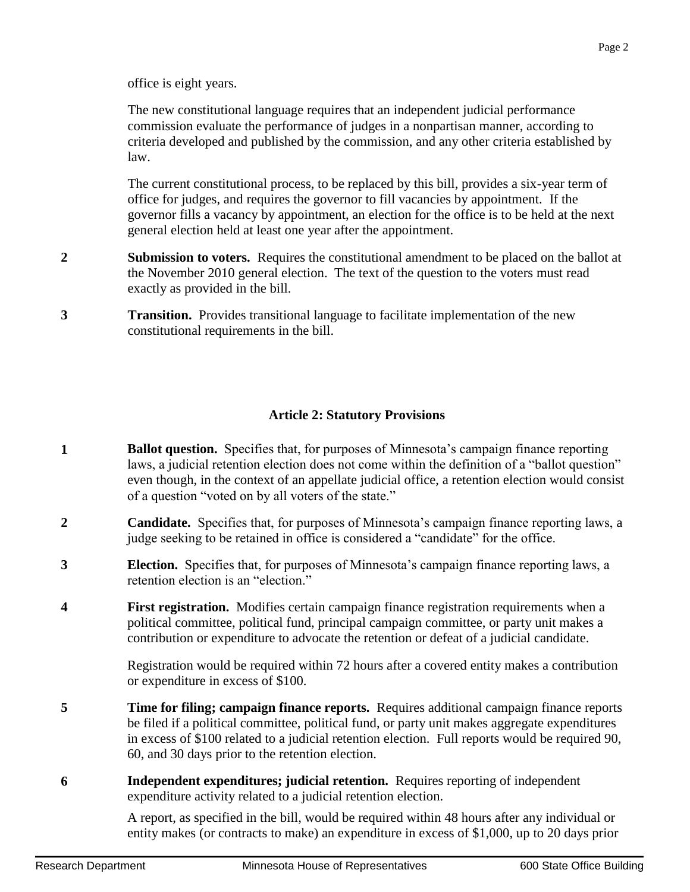office is eight years.

The new constitutional language requires that an independent judicial performance commission evaluate the performance of judges in a nonpartisan manner, according to criteria developed and published by the commission, and any other criteria established by law.

The current constitutional process, to be replaced by this bill, provides a six-year term of office for judges, and requires the governor to fill vacancies by appointment. If the governor fills a vacancy by appointment, an election for the office is to be held at the next general election held at least one year after the appointment.

- **2 Submission to voters.** Requires the constitutional amendment to be placed on the ballot at the November 2010 general election. The text of the question to the voters must read exactly as provided in the bill.
- **3 Transition.** Provides transitional language to facilitate implementation of the new constitutional requirements in the bill.

# **Article 2: Statutory Provisions**

- **1 Ballot question.** Specifies that, for purposes of Minnesota's campaign finance reporting laws, a judicial retention election does not come within the definition of a "ballot question" even though, in the context of an appellate judicial office, a retention election would consist of a question "voted on by all voters of the state."
- **2 Candidate.** Specifies that, for purposes of Minnesota's campaign finance reporting laws, a judge seeking to be retained in office is considered a "candidate" for the office.
- **3 Election.** Specifies that, for purposes of Minnesota's campaign finance reporting laws, a retention election is an "election."
- **4 First registration.** Modifies certain campaign finance registration requirements when a political committee, political fund, principal campaign committee, or party unit makes a contribution or expenditure to advocate the retention or defeat of a judicial candidate.

Registration would be required within 72 hours after a covered entity makes a contribution or expenditure in excess of \$100.

- **5 Time for filing; campaign finance reports.** Requires additional campaign finance reports be filed if a political committee, political fund, or party unit makes aggregate expenditures in excess of \$100 related to a judicial retention election. Full reports would be required 90, 60, and 30 days prior to the retention election.
- **6 Independent expenditures; judicial retention.** Requires reporting of independent expenditure activity related to a judicial retention election.

A report, as specified in the bill, would be required within 48 hours after any individual or entity makes (or contracts to make) an expenditure in excess of \$1,000, up to 20 days prior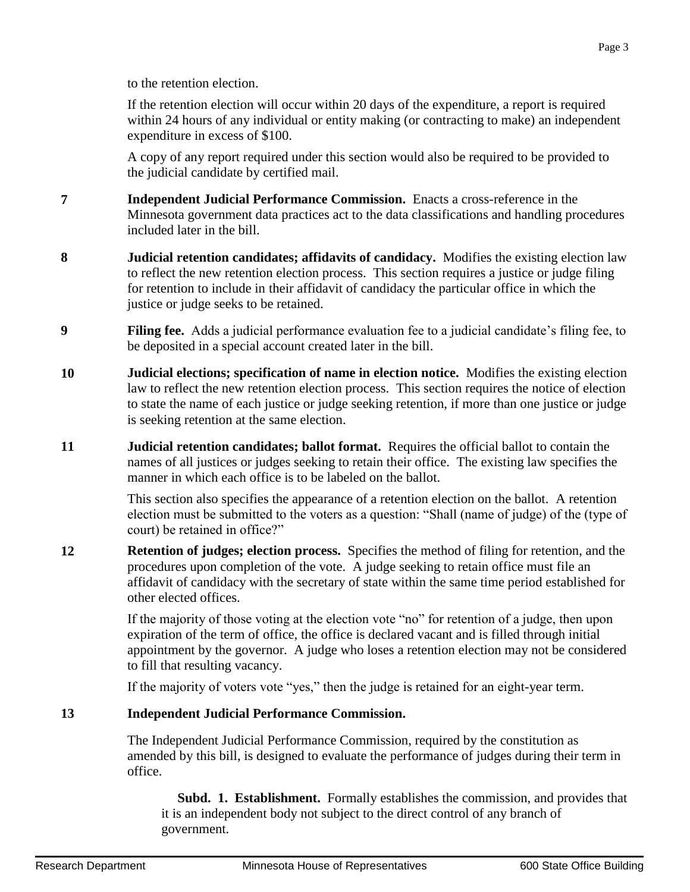If the retention election will occur within 20 days of the expenditure, a report is required within 24 hours of any individual or entity making (or contracting to make) an independent expenditure in excess of \$100.

A copy of any report required under this section would also be required to be provided to the judicial candidate by certified mail.

- **7 Independent Judicial Performance Commission.** Enacts a cross-reference in the Minnesota government data practices act to the data classifications and handling procedures included later in the bill.
- **8 Judicial retention candidates; affidavits of candidacy.** Modifies the existing election law to reflect the new retention election process. This section requires a justice or judge filing for retention to include in their affidavit of candidacy the particular office in which the justice or judge seeks to be retained.
- **9 Filing fee.** Adds a judicial performance evaluation fee to a judicial candidate's filing fee, to be deposited in a special account created later in the bill.
- **10 Judicial elections; specification of name in election notice.** Modifies the existing election law to reflect the new retention election process. This section requires the notice of election to state the name of each justice or judge seeking retention, if more than one justice or judge is seeking retention at the same election.
- **11 Judicial retention candidates; ballot format.** Requires the official ballot to contain the names of all justices or judges seeking to retain their office. The existing law specifies the manner in which each office is to be labeled on the ballot.

This section also specifies the appearance of a retention election on the ballot. A retention election must be submitted to the voters as a question: "Shall (name of judge) of the (type of court) be retained in office?"

**12 Retention of judges; election process.** Specifies the method of filing for retention, and the procedures upon completion of the vote. A judge seeking to retain office must file an affidavit of candidacy with the secretary of state within the same time period established for other elected offices.

> If the majority of those voting at the election vote "no" for retention of a judge, then upon expiration of the term of office, the office is declared vacant and is filled through initial appointment by the governor. A judge who loses a retention election may not be considered to fill that resulting vacancy.

If the majority of voters vote "yes," then the judge is retained for an eight-year term.

# **13 Independent Judicial Performance Commission.**

The Independent Judicial Performance Commission, required by the constitution as amended by this bill, is designed to evaluate the performance of judges during their term in office.

 **Subd. 1. Establishment.** Formally establishes the commission, and provides that it is an independent body not subject to the direct control of any branch of government.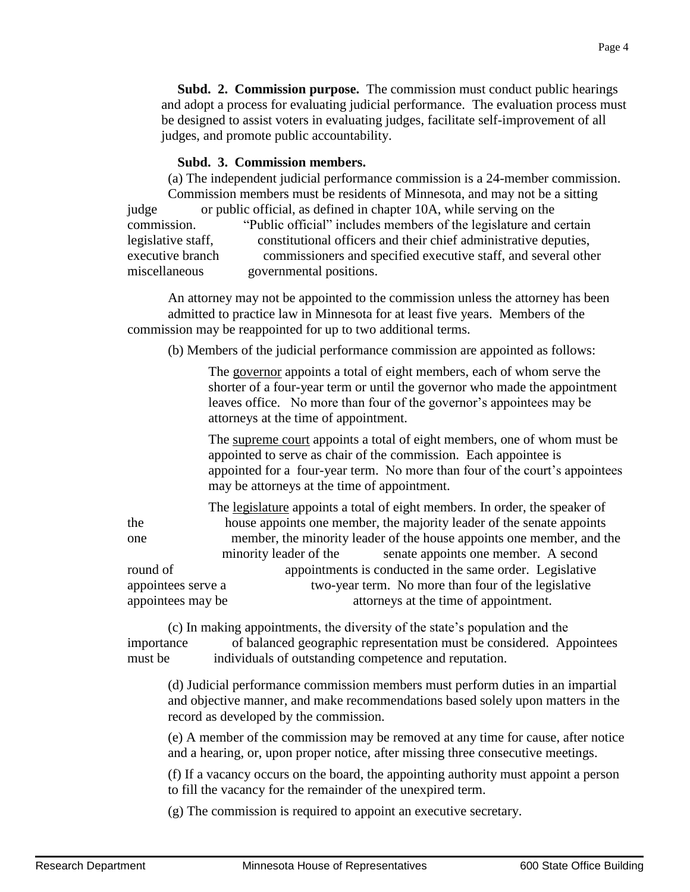**Subd. 2. Commission purpose.** The commission must conduct public hearings and adopt a process for evaluating judicial performance. The evaluation process must be designed to assist voters in evaluating judges, facilitate self-improvement of all judges, and promote public accountability.

#### **Subd. 3. Commission members.**

 (a) The independent judicial performance commission is a 24-member commission. Commission members must be residents of Minnesota, and may not be a sitting judge or public official, as defined in chapter 10A, while serving on the commission. "Public official" includes members of the legislature and certain legislative staff, constitutional officers and their chief administrative deputies, executive branch commissioners and specified executive staff, and several other miscellaneous governmental positions.

 An attorney may not be appointed to the commission unless the attorney has been admitted to practice law in Minnesota for at least five years. Members of the commission may be reappointed for up to two additional terms.

(b) Members of the judicial performance commission are appointed as follows:

 The governor appoints a total of eight members, each of whom serve the shorter of a four-year term or until the governor who made the appointment leaves office. No more than four of the governor's appointees may be attorneys at the time of appointment.

The supreme court appoints a total of eight members, one of whom must be appointed to serve as chair of the commission. Each appointee is appointed for a four-year term. No more than four of the court's appointees may be attorneys at the time of appointment.

 The legislature appoints a total of eight members. In order, the speaker of the house appoints one member, the majority leader of the senate appoints one member, the minority leader of the house appoints one member, and the minority leader of the senate appoints one member. A second round of appointments is conducted in the same order. Legislative appointees serve a two-year term. No more than four of the legislative appointees may be attorneys at the time of appointment.

 (c) In making appointments, the diversity of the state's population and the importance of balanced geographic representation must be considered. Appointees must be individuals of outstanding competence and reputation.

 (d) Judicial performance commission members must perform duties in an impartial and objective manner, and make recommendations based solely upon matters in the record as developed by the commission.

 (e) A member of the commission may be removed at any time for cause, after notice and a hearing, or, upon proper notice, after missing three consecutive meetings.

 (f) If a vacancy occurs on the board, the appointing authority must appoint a person to fill the vacancy for the remainder of the unexpired term.

(g) The commission is required to appoint an executive secretary.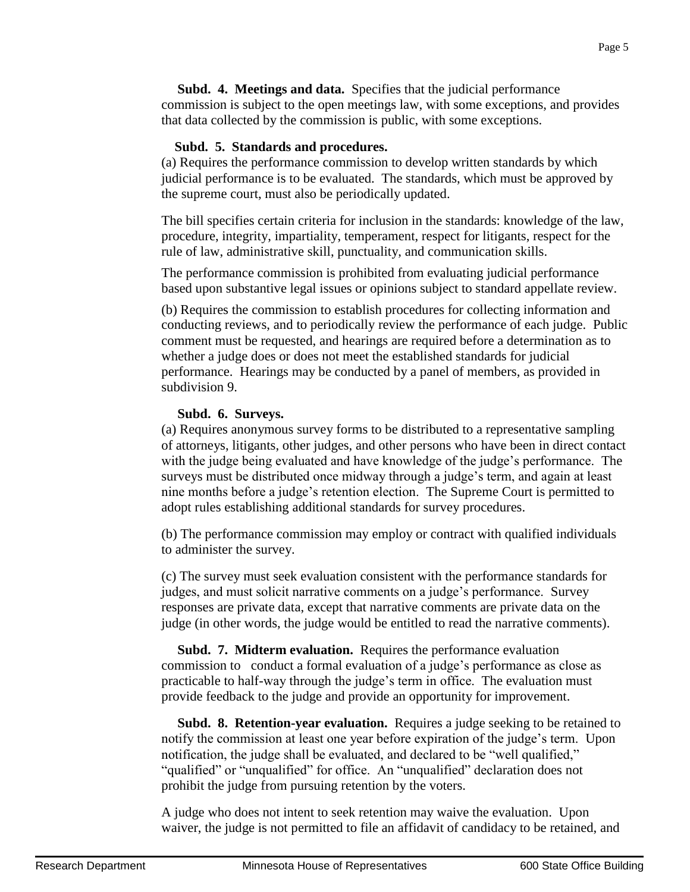**Subd. 4. Meetings and data.** Specifies that the judicial performance commission is subject to the open meetings law, with some exceptions, and provides that data collected by the commission is public, with some exceptions.

## **Subd. 5. Standards and procedures.**

(a) Requires the performance commission to develop written standards by which judicial performance is to be evaluated. The standards, which must be approved by the supreme court, must also be periodically updated.

The bill specifies certain criteria for inclusion in the standards: knowledge of the law, procedure, integrity, impartiality, temperament, respect for litigants, respect for the rule of law, administrative skill, punctuality, and communication skills.

The performance commission is prohibited from evaluating judicial performance based upon substantive legal issues or opinions subject to standard appellate review.

(b) Requires the commission to establish procedures for collecting information and conducting reviews, and to periodically review the performance of each judge. Public comment must be requested, and hearings are required before a determination as to whether a judge does or does not meet the established standards for judicial performance. Hearings may be conducted by a panel of members, as provided in subdivision 9.

## **Subd. 6. Surveys.**

(a) Requires anonymous survey forms to be distributed to a representative sampling of attorneys, litigants, other judges, and other persons who have been in direct contact with the judge being evaluated and have knowledge of the judge's performance. The surveys must be distributed once midway through a judge's term, and again at least nine months before a judge's retention election. The Supreme Court is permitted to adopt rules establishing additional standards for survey procedures.

(b) The performance commission may employ or contract with qualified individuals to administer the survey.

(c) The survey must seek evaluation consistent with the performance standards for judges, and must solicit narrative comments on a judge's performance. Survey responses are private data, except that narrative comments are private data on the judge (in other words, the judge would be entitled to read the narrative comments).

 **Subd. 7. Midterm evaluation.** Requires the performance evaluation commission to conduct a formal evaluation of a judge's performance as close as practicable to half-way through the judge's term in office. The evaluation must provide feedback to the judge and provide an opportunity for improvement.

 **Subd. 8. Retention-year evaluation.** Requires a judge seeking to be retained to notify the commission at least one year before expiration of the judge's term. Upon notification, the judge shall be evaluated, and declared to be "well qualified," "qualified" or "unqualified" for office. An "unqualified" declaration does not prohibit the judge from pursuing retention by the voters.

A judge who does not intent to seek retention may waive the evaluation. Upon waiver, the judge is not permitted to file an affidavit of candidacy to be retained, and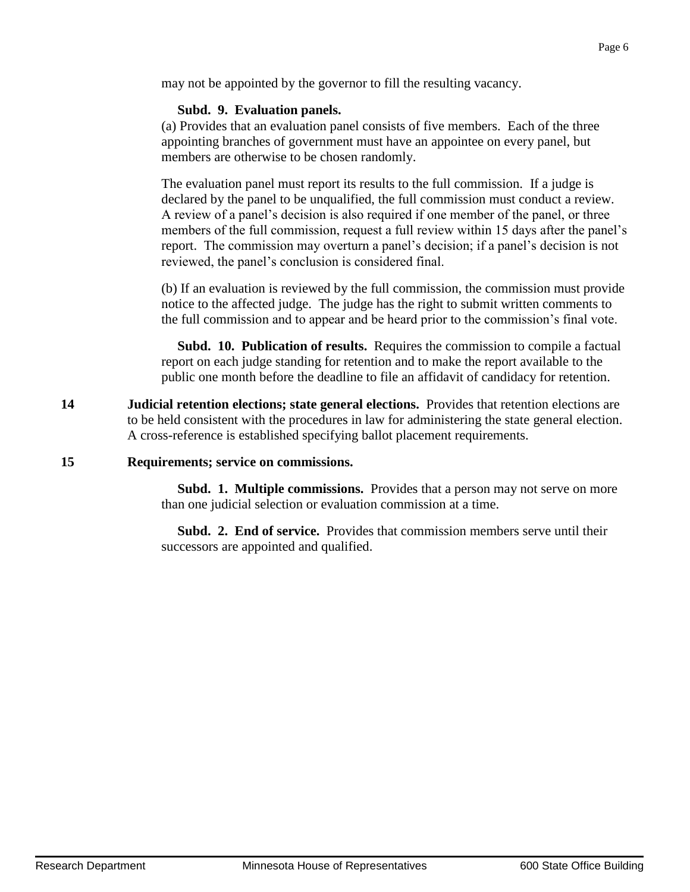may not be appointed by the governor to fill the resulting vacancy.

#### **Subd. 9. Evaluation panels.**

(a) Provides that an evaluation panel consists of five members. Each of the three appointing branches of government must have an appointee on every panel, but members are otherwise to be chosen randomly.

The evaluation panel must report its results to the full commission. If a judge is declared by the panel to be unqualified, the full commission must conduct a review. A review of a panel's decision is also required if one member of the panel, or three members of the full commission, request a full review within 15 days after the panel's report. The commission may overturn a panel's decision; if a panel's decision is not reviewed, the panel's conclusion is considered final.

(b) If an evaluation is reviewed by the full commission, the commission must provide notice to the affected judge. The judge has the right to submit written comments to the full commission and to appear and be heard prior to the commission's final vote.

 **Subd. 10. Publication of results.** Requires the commission to compile a factual report on each judge standing for retention and to make the report available to the public one month before the deadline to file an affidavit of candidacy for retention.

**14 Judicial retention elections; state general elections.** Provides that retention elections are to be held consistent with the procedures in law for administering the state general election. A cross-reference is established specifying ballot placement requirements.

#### **15 Requirements; service on commissions.**

 **Subd. 1. Multiple commissions.** Provides that a person may not serve on more than one judicial selection or evaluation commission at a time.

 **Subd. 2. End of service.** Provides that commission members serve until their successors are appointed and qualified.